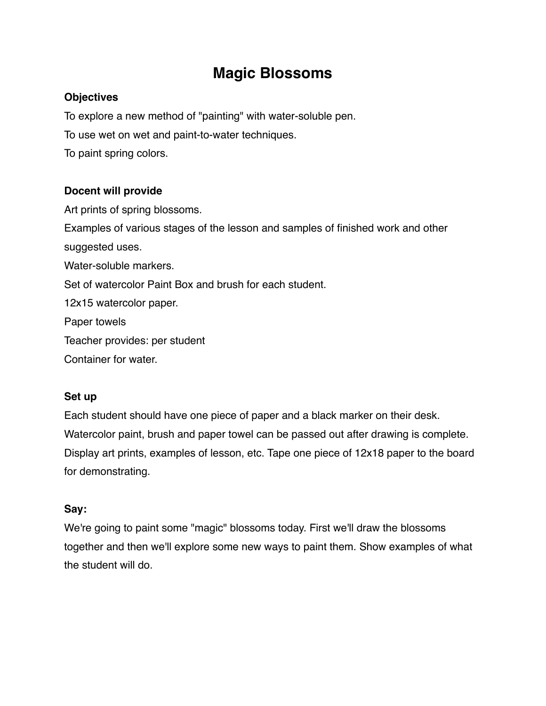# **Magic Blossoms**

## **Objectives**

To explore a new method of "painting" with water-soluble pen.

To use wet on wet and paint-to-water techniques.

To paint spring colors.

# **Docent will provide**

Art prints of spring blossoms. Examples of various stages of the lesson and samples of finished work and other suggested uses. Water-soluble markers. Set of watercolor Paint Box and brush for each student. 12x15 watercolor paper. Paper towels Teacher provides: per student Container for water.

### **Set up**

Each student should have one piece of paper and a black marker on their desk. Watercolor paint, brush and paper towel can be passed out after drawing is complete. Display art prints, examples of lesson, etc. Tape one piece of 12x18 paper to the board for demonstrating.

# **Say:**

We're going to paint some "magic" blossoms today. First we'll draw the blossoms together and then we'll explore some new ways to paint them. Show examples of what the student will do.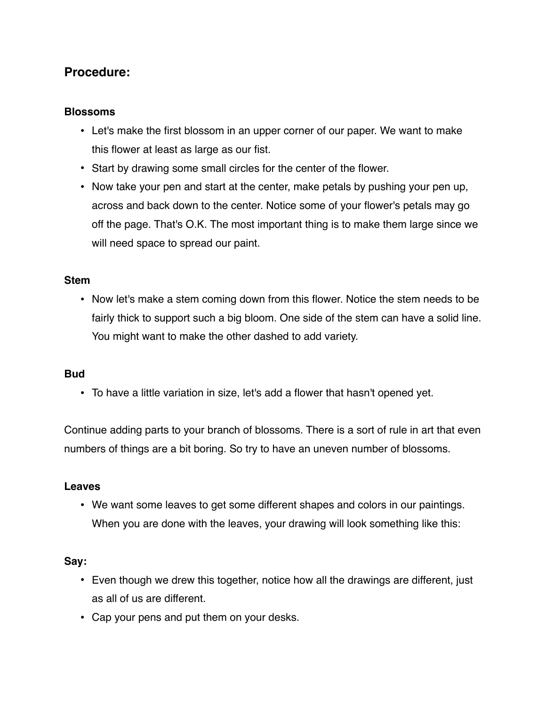# **Procedure:**

#### **Blossoms**

- Let's make the first blossom in an upper corner of our paper. We want to make this flower at least as large as our fist.
- Start by drawing some small circles for the center of the flower.
- Now take your pen and start at the center, make petals by pushing your pen up, across and back down to the center. Notice some of your flower's petals may go off the page. That's O.K. The most important thing is to make them large since we will need space to spread our paint.

#### **Stem**

• Now let's make a stem coming down from this flower. Notice the stem needs to be fairly thick to support such a big bloom. One side of the stem can have a solid line. You might want to make the other dashed to add variety.

#### **Bud**

• To have a little variation in size, let's add a flower that hasn't opened yet.

Continue adding parts to your branch of blossoms. There is a sort of rule in art that even numbers of things are a bit boring. So try to have an uneven number of blossoms.

#### **Leaves**

• We want some leaves to get some different shapes and colors in our paintings. When you are done with the leaves, your drawing will look something like this:

#### **Say:**

- Even though we drew this together, notice how all the drawings are different, just as all of us are different.
- Cap your pens and put them on your desks.